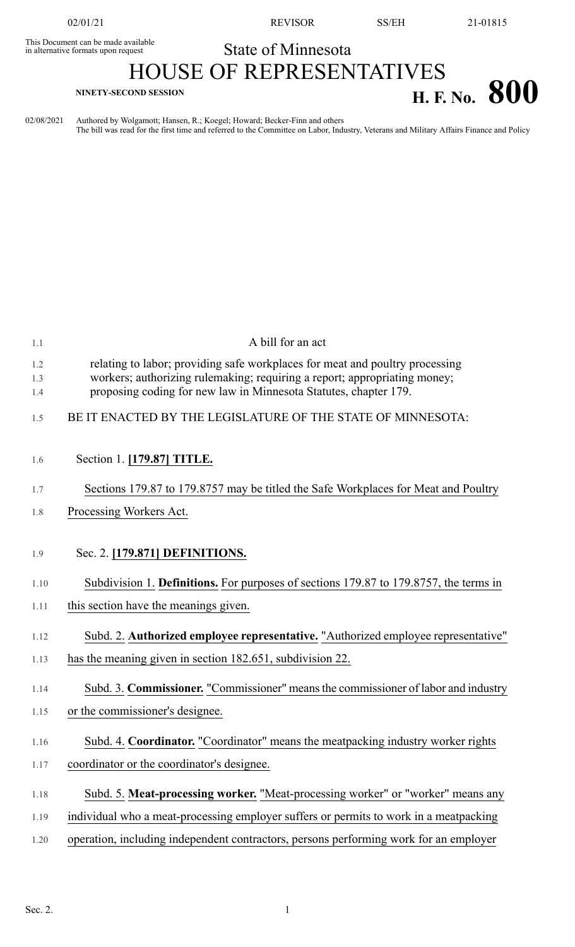This Document can be made available<br>in alternative formats upon request

02/01/21 REVISOR SS/EH 21-01815

## State of Minnesota

## HOUSE OF REPRESENTATIVES **H. F.** No. **800**

02/08/2021 Authored by Wolgamott; Hansen, R.; Koegel; Howard; Becker-Finn and others The bill was read for the first time and referred to the Committee on Labor, Industry, Veterans and Military Affairs Finance and Policy

| 1.1               | A bill for an act                                                                                                                                                                                                             |
|-------------------|-------------------------------------------------------------------------------------------------------------------------------------------------------------------------------------------------------------------------------|
| 1.2<br>1.3<br>1.4 | relating to labor; providing safe workplaces for meat and poultry processing<br>workers; authorizing rulemaking; requiring a report; appropriating money;<br>proposing coding for new law in Minnesota Statutes, chapter 179. |
| 1.5               | BE IT ENACTED BY THE LEGISLATURE OF THE STATE OF MINNESOTA:                                                                                                                                                                   |
| 1.6               | Section 1. [179.87] TITLE.                                                                                                                                                                                                    |
| 1.7               | Sections 179.87 to 179.8757 may be titled the Safe Workplaces for Meat and Poultry                                                                                                                                            |
| 1.8               | Processing Workers Act.                                                                                                                                                                                                       |
| 1.9               | Sec. 2. [179.871] DEFINITIONS.                                                                                                                                                                                                |
| 1.10              | Subdivision 1. Definitions. For purposes of sections 179.87 to 179.8757, the terms in                                                                                                                                         |
| 1.11              | this section have the meanings given.                                                                                                                                                                                         |
| 1.12              | Subd. 2. Authorized employee representative. "Authorized employee representative"                                                                                                                                             |
| 1.13              | has the meaning given in section 182.651, subdivision 22.                                                                                                                                                                     |
| 1.14              | Subd. 3. Commissioner. "Commissioner" means the commissioner of labor and industry                                                                                                                                            |
| 1.15              | or the commissioner's designee.                                                                                                                                                                                               |
| 1.16              | Subd. 4. Coordinator. "Coordinator" means the meatpacking industry worker rights                                                                                                                                              |
| 1.17              | coordinator or the coordinator's designee.                                                                                                                                                                                    |
| 1.18              | Subd. 5. Meat-processing worker. "Meat-processing worker" or "worker" means any                                                                                                                                               |
| 1.19              | individual who a meat-processing employer suffers or permits to work in a meatpacking                                                                                                                                         |
| 1.20              | operation, including independent contractors, persons performing work for an employer                                                                                                                                         |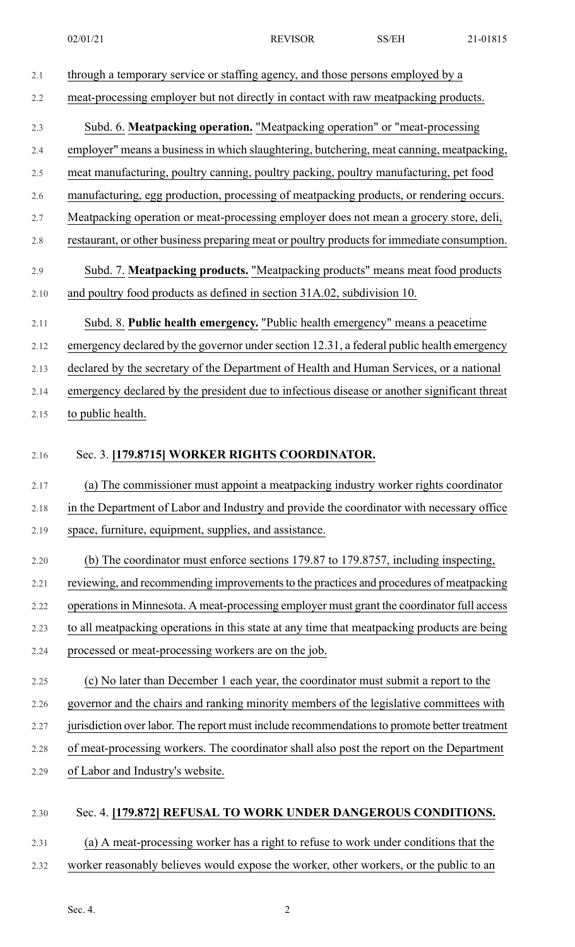2.1 through a temporary service or staffing agency, and those persons employed by a 2.2 meat-processing employer but not directly in contact with raw meatpacking products. 2.3 Subd. 6. **Meatpacking operation.** "Meatpacking operation" or "meat-processing 2.4 employer" means a business in which slaughtering, butchering, meat canning, meatpacking, 2.5 meat manufacturing, poultry canning, poultry packing, poultry manufacturing, pet food 2.6 manufacturing, egg production, processing of meatpacking products, or rendering occurs. 2.7 Meatpacking operation or meat-processing employer does not mean a grocery store, deli, 2.8 restaurant, or other business preparing meat or poultry products for immediate consumption. 2.9 Subd. 7. **Meatpacking products.** "Meatpacking products" means meat food products 2.10 and poultry food products as defined in section 31A.02, subdivision 10. 2.11 Subd. 8. **Public health emergency.** "Public health emergency" means a peacetime 2.12 emergency declared by the governor under section 12.31, a federal public health emergency 2.13 declared by the secretary of the Department of Health and Human Services, or a national 2.14 emergency declared by the president due to infectious disease or another significant threat 2.15 to public health. 2.16 Sec. 3. **[179.8715] WORKER RIGHTS COORDINATOR.** 2.17 (a) The commissioner must appoint a meatpacking industry worker rights coordinator 2.18 in the Department of Labor and Industry and provide the coordinator with necessary office 2.19 space, furniture, equipment, supplies, and assistance. 2.20 (b) The coordinator must enforce sections 179.87 to 179.8757, including inspecting, 2.21 reviewing, and recommending improvements to the practices and procedures of meatpacking 2.22 operations in Minnesota. A meat-processing employer must grant the coordinator full access 2.23 to all meatpacking operations in this state at any time that meatpacking products are being 2.24 processed or meat-processing workers are on the job. 2.25 (c) No later than December 1 each year, the coordinator must submit a report to the 2.26 governor and the chairs and ranking minority members of the legislative committees with 2.27 jurisdiction over labor. The report must include recommendations to promote better treatment 2.28 of meat-processing workers. The coordinator shall also post the report on the Department 2.29 of Labor and Industry's website. 2.30 Sec. 4. **[179.872] REFUSAL TO WORK UNDER DANGEROUS CONDITIONS.** 2.31 (a) A meat-processing worker has a right to refuse to work under conditions that the 2.32 worker reasonably believes would expose the worker, other workers, or the public to an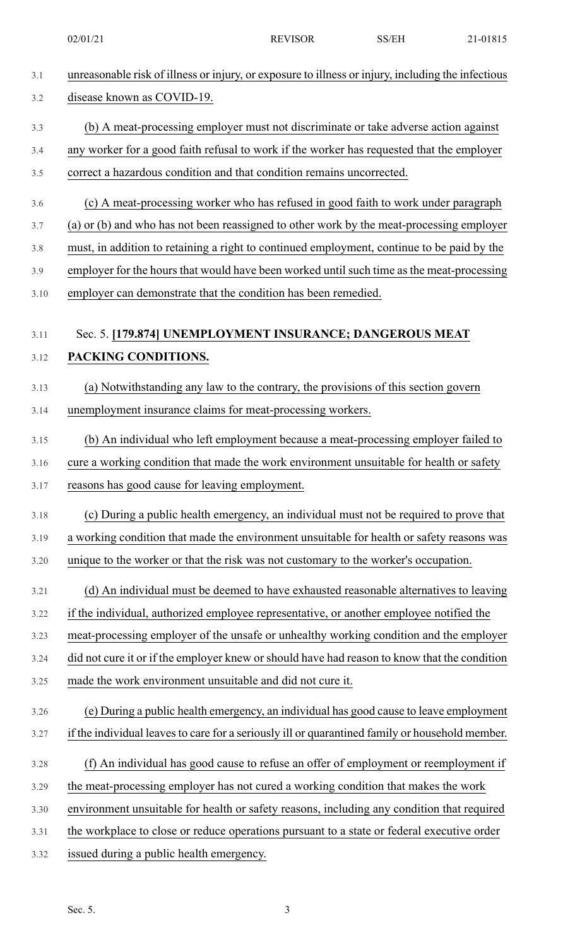02/01/21 REVISOR SS/EH 21-01815

| 3.1  | unreasonable risk of illness or injury, or exposure to illness or injury, including the infectious |
|------|----------------------------------------------------------------------------------------------------|
| 3.2  | disease known as COVID-19.                                                                         |
| 3.3  | (b) A meat-processing employer must not discriminate or take adverse action against                |
| 3.4  | any worker for a good faith refusal to work if the worker has requested that the employer          |
| 3.5  | correct a hazardous condition and that condition remains uncorrected.                              |
| 3.6  | (c) A meat-processing worker who has refused in good faith to work under paragraph                 |
| 3.7  | (a) or (b) and who has not been reassigned to other work by the meat-processing employer           |
| 3.8  | must, in addition to retaining a right to continued employment, continue to be paid by the         |
| 3.9  | employer for the hours that would have been worked until such time as the meat-processing          |
| 3.10 | employer can demonstrate that the condition has been remedied.                                     |
|      |                                                                                                    |
| 3.11 | Sec. 5. [179.874] UNEMPLOYMENT INSURANCE; DANGEROUS MEAT                                           |
| 3.12 | PACKING CONDITIONS.                                                                                |
| 3.13 | (a) Notwithstanding any law to the contrary, the provisions of this section govern                 |
| 3.14 | unemployment insurance claims for meat-processing workers.                                         |
| 3.15 | (b) An individual who left employment because a meat-processing employer failed to                 |
| 3.16 | cure a working condition that made the work environment unsuitable for health or safety            |
| 3.17 | reasons has good cause for leaving employment.                                                     |
| 3.18 | (c) During a public health emergency, an individual must not be required to prove that             |
| 3.19 | a working condition that made the environment unsuitable for health or safety reasons was          |
| 3.20 | unique to the worker or that the risk was not customary to the worker's occupation.                |
| 3.21 | (d) An individual must be deemed to have exhausted reasonable alternatives to leaving              |
| 3.22 | if the individual, authorized employee representative, or another employee notified the            |
| 3.23 | meat-processing employer of the unsafe or unhealthy working condition and the employer             |
| 3.24 | did not cure it or if the employer knew or should have had reason to know that the condition       |
| 3.25 | made the work environment unsuitable and did not cure it.                                          |
| 3.26 | (e) During a public health emergency, an individual has good cause to leave employment             |
| 3.27 | if the individual leaves to care for a seriously ill or quarantined family or household member.    |
| 3.28 | (f) An individual has good cause to refuse an offer of employment or reemployment if               |
| 3.29 | the meat-processing employer has not cured a working condition that makes the work                 |
| 3.30 | environment unsuitable for health or safety reasons, including any condition that required         |
| 3.31 | the workplace to close or reduce operations pursuant to a state or federal executive order         |
| 3.32 | issued during a public health emergency.                                                           |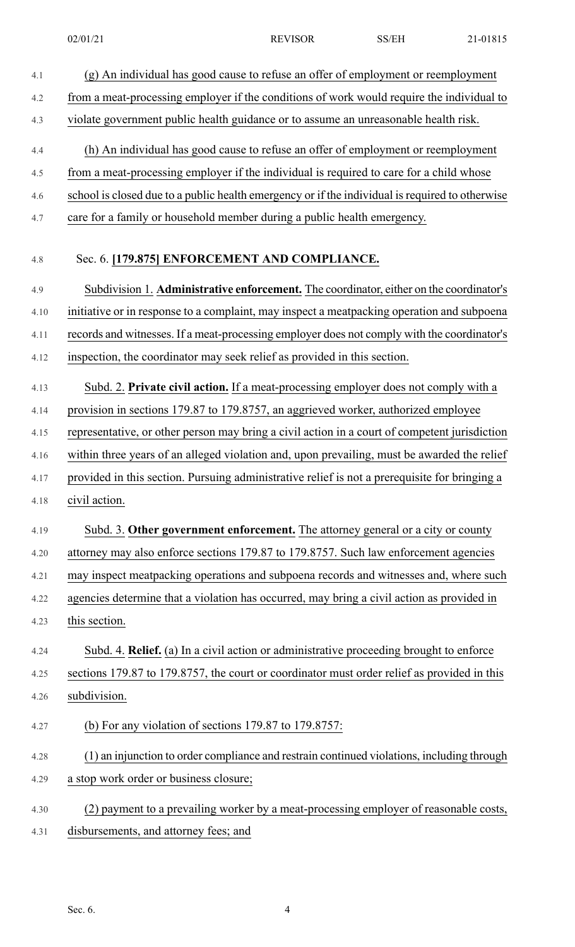- 4.1 (g) An individual has good cause to refuse an offer of employment or reemployment 4.2 from a meat-processing employer if the conditions of work would require the individual to 4.3 violate government public health guidance or to assume an unreasonable health risk. 4.4 (h) An individual has good cause to refuse an offer of employment or reemployment 4.5 from a meat-processing employer if the individual is required to care for a child whose 4.6 school is closed due to a public health emergency or if the individual is required to otherwise 4.7 care for a family or household member during a public health emergency. 4.8 Sec. 6. **[179.875] ENFORCEMENT AND COMPLIANCE.** 4.9 Subdivision 1. **Administrative enforcement.** The coordinator, either on the coordinator's 4.10 initiative or in response to a complaint, may inspect a meatpacking operation and subpoena 4.11 records and witnesses. If a meat-processing employer does not comply with the coordinator's 4.12 inspection, the coordinator may seek relief as provided in this section. 4.13 Subd. 2. **Private civil action.** If a meat-processing employer does not comply with a 4.14 provision in sections 179.87 to 179.8757, an aggrieved worker, authorized employee 4.15 representative, or other person may bring a civil action in a court of competent jurisdiction 4.16 within three years of an alleged violation and, upon prevailing, must be awarded the relief 4.17 provided in this section. Pursuing administrative relief is not a prerequisite for bringing a 4.18 civil action. 4.19 Subd. 3. **Other government enforcement.** The attorney general or a city or county 4.20 attorney may also enforce sections 179.87 to 179.8757. Such law enforcement agencies 4.21 may inspect meatpacking operations and subpoena records and witnesses and, where such 4.22 agencies determine that a violation has occurred, may bring a civil action as provided in 4.23 this section. 4.24 Subd. 4. **Relief.** (a) In a civil action or administrative proceeding brought to enforce 4.25 sections 179.87 to 179.8757, the court or coordinator must order relief as provided in this 4.26 subdivision. 4.27 (b) For any violation of sections 179.87 to 179.8757: 4.28 (1) an injunction to order compliance and restrain continued violations, including through 4.29 a stop work order or business closure; 4.30 (2) payment to a prevailing worker by a meat-processing employer of reasonable costs,
- 4.31 disbursements, and attorney fees; and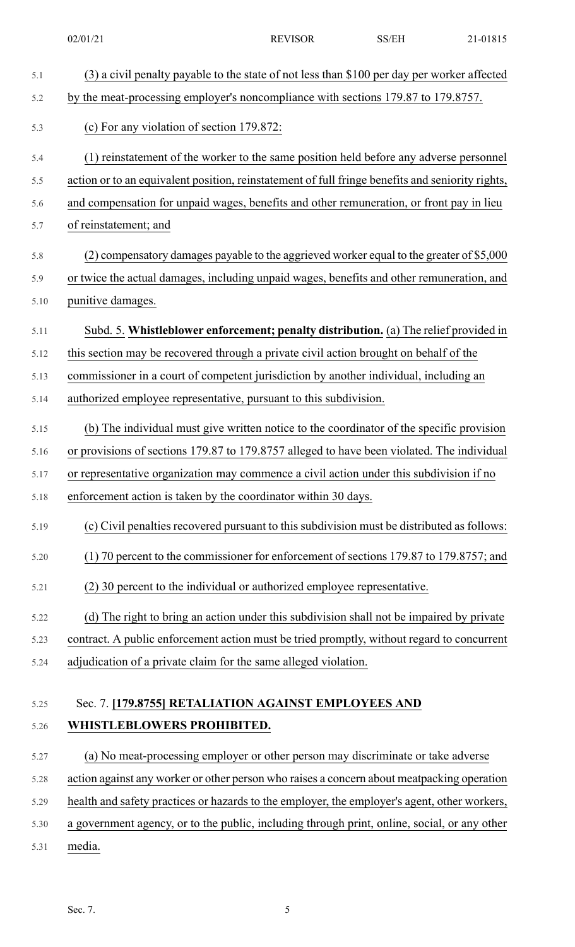| 5.1  | (3) a civil penalty payable to the state of not less than \$100 per day per worker affected      |
|------|--------------------------------------------------------------------------------------------------|
| 5.2  | by the meat-processing employer's noncompliance with sections 179.87 to 179.8757.                |
| 5.3  | (c) For any violation of section 179.872:                                                        |
| 5.4  | (1) reinstatement of the worker to the same position held before any adverse personnel           |
| 5.5  | action or to an equivalent position, reinstatement of full fringe benefits and seniority rights, |
| 5.6  | and compensation for unpaid wages, benefits and other remuneration, or front pay in lieu         |
| 5.7  | of reinstatement; and                                                                            |
| 5.8  | (2) compensatory damages payable to the aggrieved worker equal to the greater of \$5,000         |
| 5.9  | or twice the actual damages, including unpaid wages, benefits and other remuneration, and        |
| 5.10 | punitive damages.                                                                                |
| 5.11 | Subd. 5. Whistleblower enforcement; penalty distribution. (a) The relief provided in             |
| 5.12 | this section may be recovered through a private civil action brought on behalf of the            |
| 5.13 | commissioner in a court of competent jurisdiction by another individual, including an            |
| 5.14 | authorized employee representative, pursuant to this subdivision.                                |
| 5.15 | (b) The individual must give written notice to the coordinator of the specific provision         |
| 5.16 | or provisions of sections 179.87 to 179.8757 alleged to have been violated. The individual       |
| 5.17 | or representative organization may commence a civil action under this subdivision if no          |
| 5.18 | enforcement action is taken by the coordinator within 30 days.                                   |
| 5.19 | (c) Civil penalties recovered pursuant to this subdivision must be distributed as follows:       |
| 5.20 | (1) 70 percent to the commissioner for enforcement of sections 179.87 to 179.8757; and           |
| 5.21 | (2) 30 percent to the individual or authorized employee representative.                          |
| 5.22 | (d) The right to bring an action under this subdivision shall not be impaired by private         |
| 5.23 | contract. A public enforcement action must be tried promptly, without regard to concurrent       |
| 5.24 | adjudication of a private claim for the same alleged violation.                                  |
| 5.25 | Sec. 7. [179.8755] RETALIATION AGAINST EMPLOYEES AND                                             |
| 5.26 | WHISTLEBLOWERS PROHIBITED.                                                                       |
| 5.27 | (a) No meat-processing employer or other person may discriminate or take adverse                 |
|      |                                                                                                  |

5.28 action against any worker or other person who raises a concern about meatpacking operation

5.29 health and safety practices or hazards to the employer, the employer's agent, other workers,

- 5.30 a government agency, or to the public, including through print, online, social, or any other
- 5.31 media.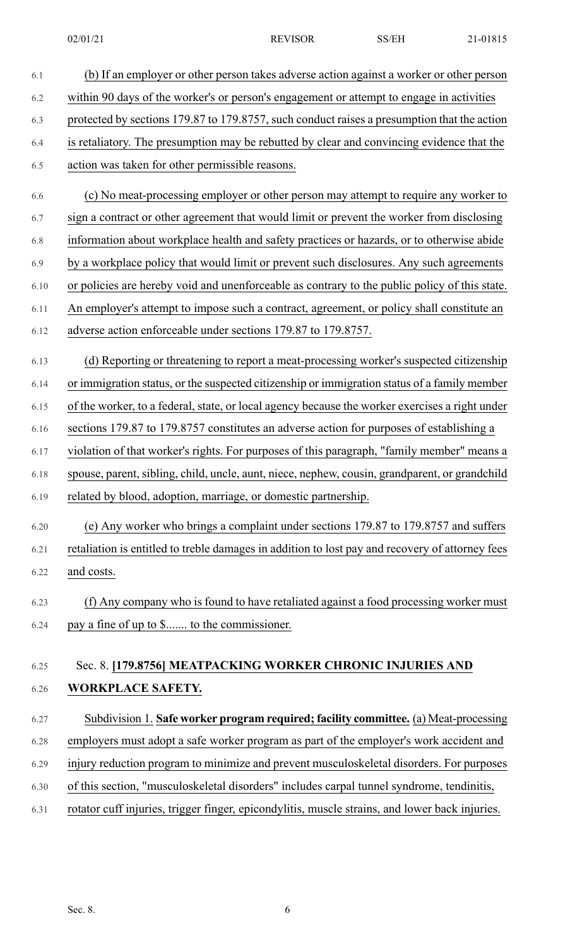| 6.1  | (b) If an employer or other person takes adverse action against a worker or other person        |
|------|-------------------------------------------------------------------------------------------------|
| 6.2  | within 90 days of the worker's or person's engagement or attempt to engage in activities        |
| 6.3  | protected by sections 179.87 to 179.8757, such conduct raises a presumption that the action     |
| 6.4  | is retaliatory. The presumption may be rebutted by clear and convincing evidence that the       |
| 6.5  | action was taken for other permissible reasons.                                                 |
| 6.6  | (c) No meat-processing employer or other person may attempt to require any worker to            |
| 6.7  | sign a contract or other agreement that would limit or prevent the worker from disclosing       |
| 6.8  | information about workplace health and safety practices or hazards, or to otherwise abide       |
| 6.9  | by a workplace policy that would limit or prevent such disclosures. Any such agreements         |
| 6.10 | or policies are hereby void and unenforceable as contrary to the public policy of this state.   |
| 6.11 | An employer's attempt to impose such a contract, agreement, or policy shall constitute an       |
| 6.12 | adverse action enforceable under sections 179.87 to 179.8757.                                   |
| 6.13 | (d) Reporting or threatening to report a meat-processing worker's suspected citizenship         |
| 6.14 | or immigration status, or the suspected citizenship or immigration status of a family member    |
| 6.15 | of the worker, to a federal, state, or local agency because the worker exercises a right under  |
| 6.16 | sections 179.87 to 179.8757 constitutes an adverse action for purposes of establishing a        |
| 6.17 | violation of that worker's rights. For purposes of this paragraph, "family member" means a      |
| 6.18 | spouse, parent, sibling, child, uncle, aunt, niece, nephew, cousin, grandparent, or grandchild  |
| 6.19 | related by blood, adoption, marriage, or domestic partnership.                                  |
| 6.20 | (e) Any worker who brings a complaint under sections 179.87 to 179.8757 and suffers             |
| 6.21 | retaliation is entitled to treble damages in addition to lost pay and recovery of attorney fees |
| 6.22 | and costs.                                                                                      |
| 6.23 | (f) Any company who is found to have retaliated against a food processing worker must           |
| 6.24 | pay a fine of up to \$ to the commissioner.                                                     |
|      |                                                                                                 |
| 6.25 | Sec. 8. [179.8756] MEATPACKING WORKER CHRONIC INJURIES AND                                      |
| 6.26 | WORKPLACE SAFETY.                                                                               |
| 6.27 | Subdivision 1. Safe worker program required; facility committee. (a) Meat-processing            |
| 6.28 | employers must adopt a safe worker program as part of the employer's work accident and          |
| 6.29 | injury reduction program to minimize and prevent musculoskeletal disorders. For purposes        |
| 6.30 | of this section, "musculoskeletal disorders" includes carpal tunnel syndrome, tendinitis,       |
| 6.31 | rotator cuff injuries, trigger finger, epicondylitis, muscle strains, and lower back injuries.  |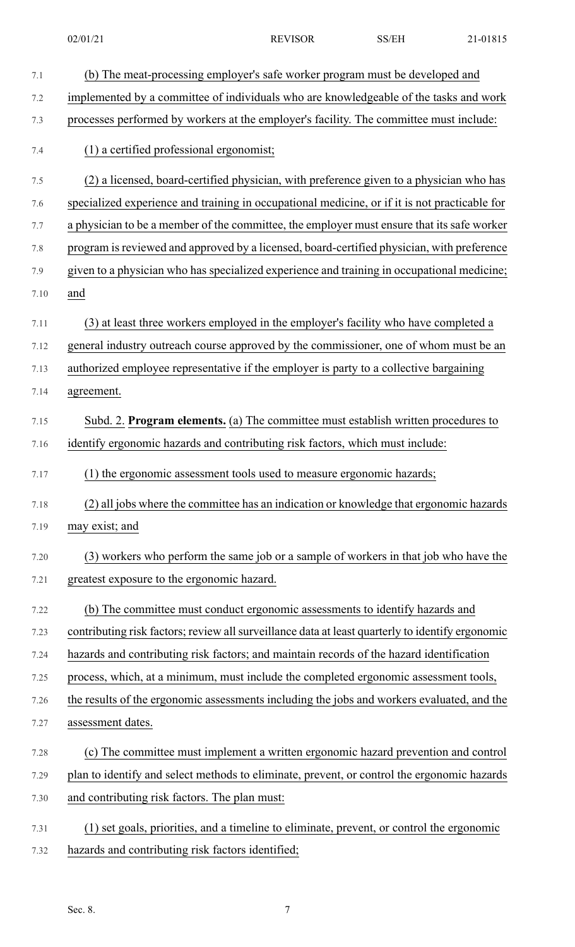| 7.1     | (b) The meat-processing employer's safe worker program must be developed and                     |
|---------|--------------------------------------------------------------------------------------------------|
| 7.2     | implemented by a committee of individuals who are knowledgeable of the tasks and work            |
| 7.3     | processes performed by workers at the employer's facility. The committee must include:           |
| 7.4     | (1) a certified professional ergonomist;                                                         |
| 7.5     | (2) a licensed, board-certified physician, with preference given to a physician who has          |
| 7.6     | specialized experience and training in occupational medicine, or if it is not practicable for    |
| 7.7     | a physician to be a member of the committee, the employer must ensure that its safe worker       |
| $7.8\,$ | program is reviewed and approved by a licensed, board-certified physician, with preference       |
| 7.9     | given to a physician who has specialized experience and training in occupational medicine;       |
| 7.10    | and                                                                                              |
| 7.11    | (3) at least three workers employed in the employer's facility who have completed a              |
| 7.12    | general industry outreach course approved by the commissioner, one of whom must be an            |
| 7.13    | authorized employee representative if the employer is party to a collective bargaining           |
| 7.14    | agreement.                                                                                       |
| 7.15    | Subd. 2. Program elements. (a) The committee must establish written procedures to                |
| 7.16    | identify ergonomic hazards and contributing risk factors, which must include:                    |
| 7.17    | (1) the ergonomic assessment tools used to measure ergonomic hazards;                            |
| 7.18    | (2) all jobs where the committee has an indication or knowledge that ergonomic hazards           |
| 7.19    | may exist; and                                                                                   |
| 7.20    | (3) workers who perform the same job or a sample of workers in that job who have the             |
| 7.21    | greatest exposure to the ergonomic hazard.                                                       |
| 7.22    | (b) The committee must conduct ergonomic assessments to identify hazards and                     |
| 7.23    | contributing risk factors; review all surveillance data at least quarterly to identify ergonomic |
| 7.24    | hazards and contributing risk factors; and maintain records of the hazard identification         |
| 7.25    | process, which, at a minimum, must include the completed ergonomic assessment tools,             |
| 7.26    | the results of the ergonomic assessments including the jobs and workers evaluated, and the       |
| 7.27    | assessment dates.                                                                                |
| 7.28    | (c) The committee must implement a written ergonomic hazard prevention and control               |
| 7.29    | plan to identify and select methods to eliminate, prevent, or control the ergonomic hazards      |
| 7.30    | and contributing risk factors. The plan must:                                                    |
| 7.31    | (1) set goals, priorities, and a timeline to eliminate, prevent, or control the ergonomic        |
| 7.32    | hazards and contributing risk factors identified;                                                |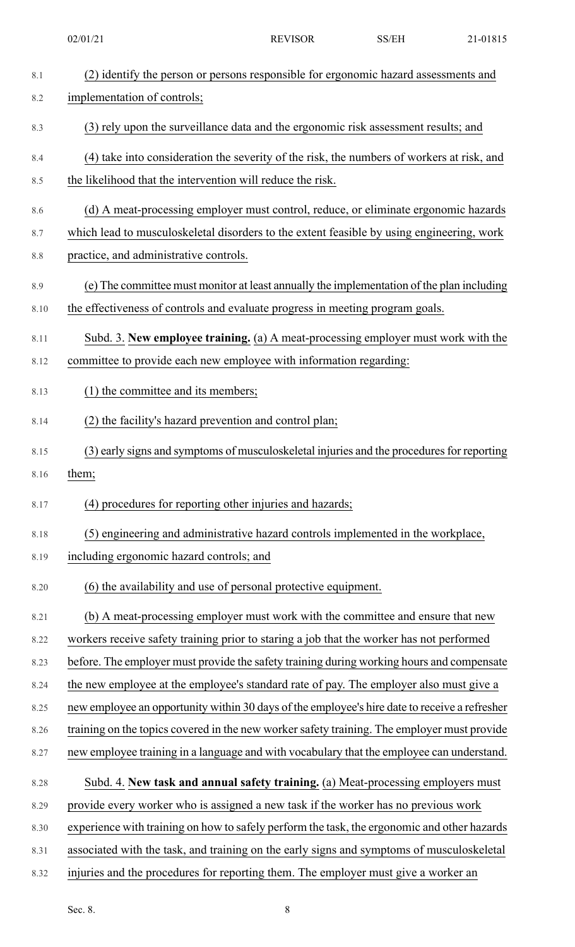| 8.1  | (2) identify the person or persons responsible for ergonomic hazard assessments and           |
|------|-----------------------------------------------------------------------------------------------|
| 8.2  | implementation of controls;                                                                   |
| 8.3  | (3) rely upon the surveillance data and the ergonomic risk assessment results; and            |
| 8.4  | (4) take into consideration the severity of the risk, the numbers of workers at risk, and     |
| 8.5  | the likelihood that the intervention will reduce the risk.                                    |
| 8.6  | (d) A meat-processing employer must control, reduce, or eliminate ergonomic hazards           |
| 8.7  | which lead to musculoskeletal disorders to the extent feasible by using engineering, work     |
| 8.8  | practice, and administrative controls.                                                        |
| 8.9  | (e) The committee must monitor at least annually the implementation of the plan including     |
| 8.10 | the effectiveness of controls and evaluate progress in meeting program goals.                 |
| 8.11 | Subd. 3. New employee training. (a) A meat-processing employer must work with the             |
| 8.12 | committee to provide each new employee with information regarding:                            |
| 8.13 | (1) the committee and its members;                                                            |
| 8.14 | (2) the facility's hazard prevention and control plan;                                        |
| 8.15 | (3) early signs and symptoms of musculoskeletal injuries and the procedures for reporting     |
| 8.16 | them;                                                                                         |
| 8.17 | (4) procedures for reporting other injuries and hazards;                                      |
| 8.18 | (5) engineering and administrative hazard controls implemented in the workplace,              |
| 8.19 | including ergonomic hazard controls; and                                                      |
| 8.20 | (6) the availability and use of personal protective equipment.                                |
| 8.21 | (b) A meat-processing employer must work with the committee and ensure that new               |
| 8.22 | workers receive safety training prior to staring a job that the worker has not performed      |
| 8.23 | before. The employer must provide the safety training during working hours and compensate     |
| 8.24 | the new employee at the employee's standard rate of pay. The employer also must give a        |
| 8.25 | new employee an opportunity within 30 days of the employee's hire date to receive a refresher |
| 8.26 | training on the topics covered in the new worker safety training. The employer must provide   |
| 8.27 | new employee training in a language and with vocabulary that the employee can understand.     |
| 8.28 | Subd. 4. New task and annual safety training. (a) Meat-processing employers must              |
| 8.29 | provide every worker who is assigned a new task if the worker has no previous work            |
| 8.30 | experience with training on how to safely perform the task, the ergonomic and other hazards   |
| 8.31 | associated with the task, and training on the early signs and symptoms of musculoskeletal     |
| 8.32 | injuries and the procedures for reporting them. The employer must give a worker an            |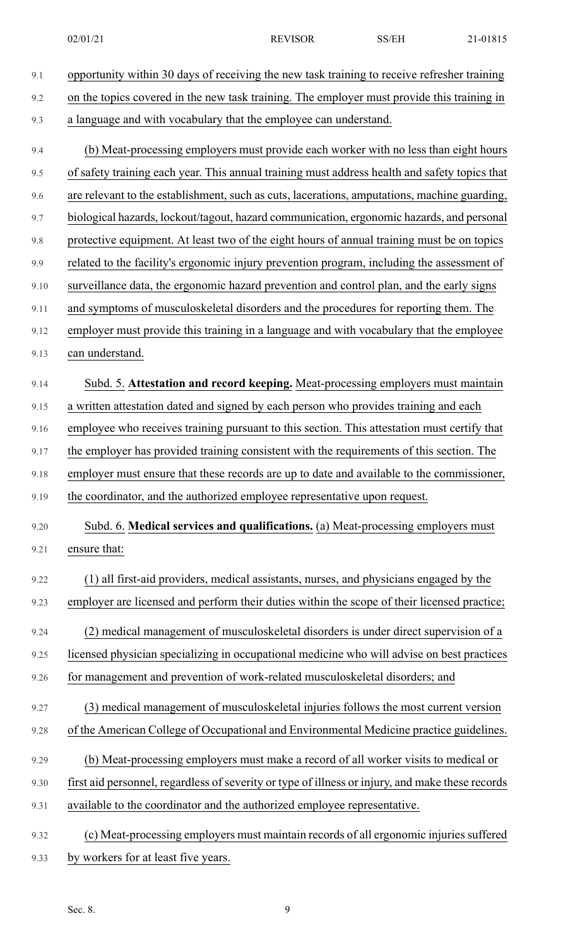- 9.1 opportunity within 30 days of receiving the new task training to receive refresher training 9.2 on the topics covered in the new task training. The employer must provide this training in 9.3 a language and with vocabulary that the employee can understand. 9.4 (b) Meat-processing employers must provide each worker with no less than eight hours 9.5 of safety training each year. This annual training must address health and safety topics that 9.6 are relevant to the establishment, such as cuts, lacerations, amputations, machine guarding, 9.7 biological hazards, lockout/tagout, hazard communication, ergonomic hazards, and personal 9.8 protective equipment. At least two of the eight hours of annual training must be on topics 9.9 related to the facility's ergonomic injury prevention program, including the assessment of 9.10 surveillance data, the ergonomic hazard prevention and control plan, and the early signs 9.11 and symptoms of musculoskeletal disorders and the procedures for reporting them. The 9.12 employer must provide this training in a language and with vocabulary that the employee 9.13 can understand. 9.14 Subd. 5. **Attestation and record keeping.** Meat-processing employers must maintain 9.15 a written attestation dated and signed by each person who provides training and each 9.16 employee who receives training pursuant to this section. This attestation must certify that 9.17 the employer has provided training consistent with the requirements of this section. The 9.18 employer must ensure that these records are up to date and available to the commissioner, 9.19 the coordinator, and the authorized employee representative upon request. 9.20 Subd. 6. **Medical services and qualifications.** (a) Meat-processing employers must 9.21 ensure that: 9.22 (1) all first-aid providers, medical assistants, nurses, and physicians engaged by the 9.23 employer are licensed and perform their duties within the scope of their licensed practice; 9.24 (2) medical management of musculoskeletal disorders is under direct supervision of a 9.25 licensed physician specializing in occupational medicine who will advise on best practices 9.26 for management and prevention of work-related musculoskeletal disorders; and 9.27 (3) medical management of musculoskeletal injuries follows the most current version 9.28 of the American College of Occupational and Environmental Medicine practice guidelines. 9.29 (b) Meat-processing employers must make a record of all worker visits to medical or 9.30 first aid personnel, regardless of severity or type of illness or injury, and make these records 9.31 available to the coordinator and the authorized employee representative. 9.32 (c) Meat-processing employers must maintain records of all ergonomic injuries suffered
- 9.33 by workers for at least five years.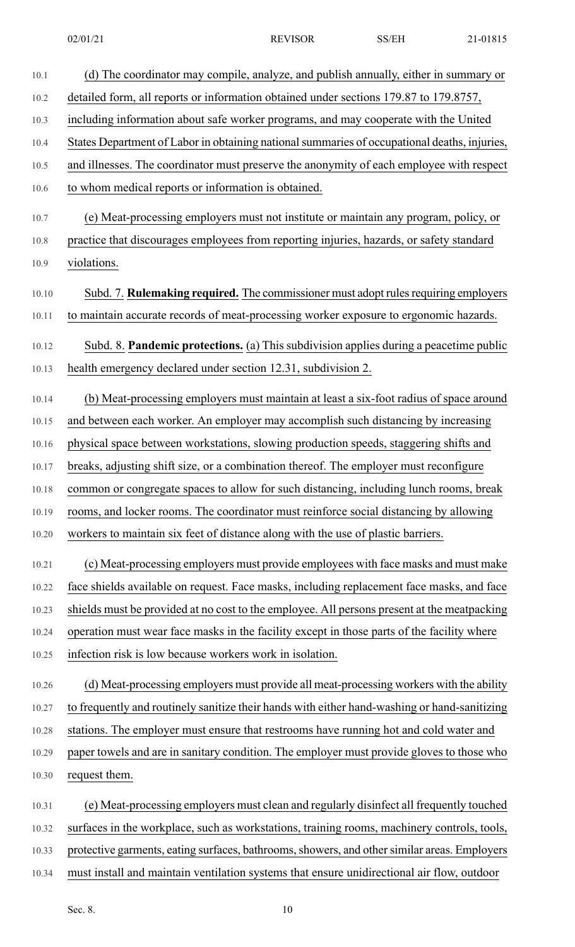| 10.1  | (d) The coordinator may compile, analyze, and publish annually, either in summary or         |
|-------|----------------------------------------------------------------------------------------------|
| 10.2  | detailed form, all reports or information obtained under sections 179.87 to 179.8757,        |
| 10.3  | including information about safe worker programs, and may cooperate with the United          |
| 10.4  | States Department of Labor in obtaining national summaries of occupational deaths, injuries, |
| 10.5  | and illnesses. The coordinator must preserve the anonymity of each employee with respect     |
| 10.6  | to whom medical reports or information is obtained.                                          |
| 10.7  | (e) Meat-processing employers must not institute or maintain any program, policy, or         |
| 10.8  | practice that discourages employees from reporting injuries, hazards, or safety standard     |
| 10.9  | violations.                                                                                  |
| 10.10 | Subd. 7. Rulemaking required. The commissioner must adopt rules requiring employers          |
| 10.11 | to maintain accurate records of meat-processing worker exposure to ergonomic hazards.        |
| 10.12 | Subd. 8. Pandemic protections. (a) This subdivision applies during a peacetime public        |
| 10.13 | health emergency declared under section 12.31, subdivision 2.                                |
| 10.14 | (b) Meat-processing employers must maintain at least a six-foot radius of space around       |
| 10.15 | and between each worker. An employer may accomplish such distancing by increasing            |
| 10.16 | physical space between workstations, slowing production speeds, staggering shifts and        |
| 10.17 | breaks, adjusting shift size, or a combination thereof. The employer must reconfigure        |
| 10.18 | common or congregate spaces to allow for such distancing, including lunch rooms, break       |
| 10.19 | rooms, and locker rooms. The coordinator must reinforce social distancing by allowing        |
| 10.20 | workers to maintain six feet of distance along with the use of plastic barriers.             |
| 10.21 | (c) Meat-processing employers must provide employees with face masks and must make           |
| 10.22 | face shields available on request. Face masks, including replacement face masks, and face    |
| 10.23 | shields must be provided at no cost to the employee. All persons present at the meatpacking  |
| 10.24 | operation must wear face masks in the facility except in those parts of the facility where   |
| 10.25 | infection risk is low because workers work in isolation.                                     |
| 10.26 | (d) Meat-processing employers must provide all meat-processing workers with the ability      |
| 10.27 | to frequently and routinely sanitize their hands with either hand-washing or hand-sanitizing |
| 10.28 | stations. The employer must ensure that restrooms have running hot and cold water and        |
| 10.29 | paper towels and are in sanitary condition. The employer must provide gloves to those who    |
| 10.30 | request them.                                                                                |
| 10.31 | (e) Meat-processing employers must clean and regularly disinfect all frequently touched      |
| 10.32 | surfaces in the workplace, such as workstations, training rooms, machinery controls, tools,  |
| 10.33 | protective garments, eating surfaces, bathrooms, showers, and other similar areas. Employers |

10.34 must install and maintain ventilation systems that ensure unidirectional air flow, outdoor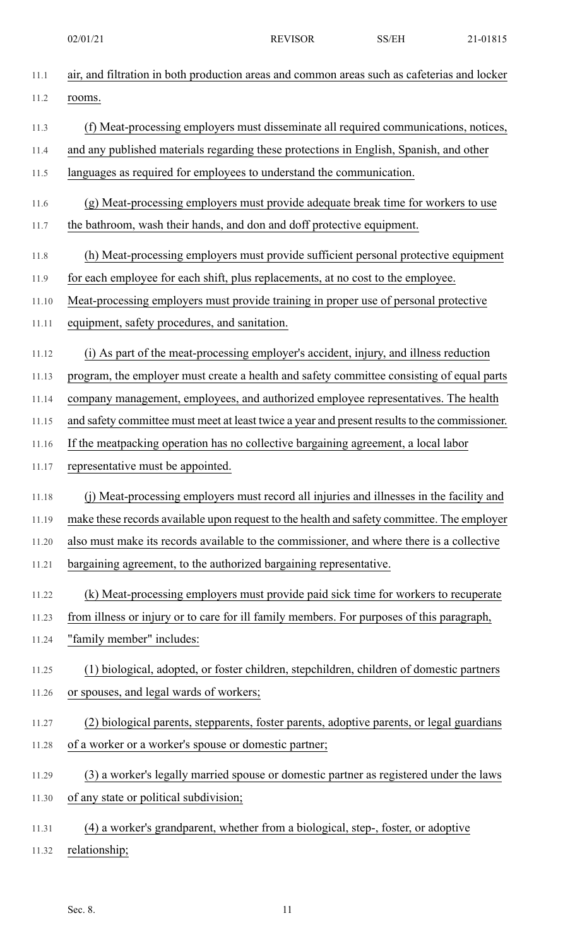| 11.1  | air, and filtration in both production areas and common areas such as cafeterias and locker   |
|-------|-----------------------------------------------------------------------------------------------|
| 11.2  | rooms.                                                                                        |
| 11.3  | (f) Meat-processing employers must disseminate all required communications, notices,          |
| 11.4  | and any published materials regarding these protections in English, Spanish, and other        |
| 11.5  | languages as required for employees to understand the communication.                          |
| 11.6  | (g) Meat-processing employers must provide adequate break time for workers to use             |
| 11.7  | the bathroom, wash their hands, and don and doff protective equipment.                        |
| 11.8  | (h) Meat-processing employers must provide sufficient personal protective equipment           |
| 11.9  | for each employee for each shift, plus replacements, at no cost to the employee.              |
| 11.10 | Meat-processing employers must provide training in proper use of personal protective          |
| 11.11 | equipment, safety procedures, and sanitation.                                                 |
| 11.12 | (i) As part of the meat-processing employer's accident, injury, and illness reduction         |
| 11.13 | program, the employer must create a health and safety committee consisting of equal parts     |
| 11.14 | company management, employees, and authorized employee representatives. The health            |
| 11.15 | and safety committee must meet at least twice a year and present results to the commissioner. |
| 11.16 | If the meatpacking operation has no collective bargaining agreement, a local labor            |
| 11.17 | representative must be appointed.                                                             |
| 11.18 | (j) Meat-processing employers must record all injuries and illnesses in the facility and      |
| 11.19 | make these records available upon request to the health and safety committee. The employer    |
| 11.20 | also must make its records available to the commissioner, and where there is a collective     |
| 11.21 | bargaining agreement, to the authorized bargaining representative.                            |
| 11.22 | (k) Meat-processing employers must provide paid sick time for workers to recuperate           |
| 11.23 | from illness or injury or to care for ill family members. For purposes of this paragraph,     |
| 11.24 | "family member" includes:                                                                     |
| 11.25 | (1) biological, adopted, or foster children, stepchildren, children of domestic partners      |
| 11.26 | or spouses, and legal wards of workers;                                                       |
| 11.27 | (2) biological parents, stepparents, foster parents, adoptive parents, or legal guardians     |
| 11.28 | of a worker or a worker's spouse or domestic partner;                                         |
| 11.29 | (3) a worker's legally married spouse or domestic partner as registered under the laws        |
| 11.30 | of any state or political subdivision;                                                        |
| 11.31 | (4) a worker's grandparent, whether from a biological, step-, foster, or adoptive             |
| 11.32 | relationship;                                                                                 |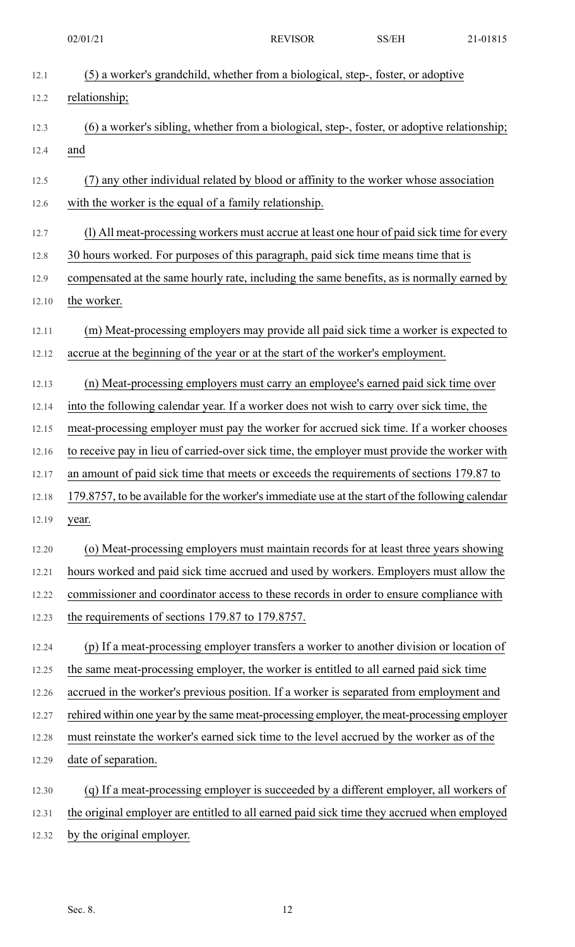12.1 (5) a worker's grandchild, whether from a biological, step-, foster, or adoptive 12.2 relationship; 12.3 (6) a worker's sibling, whether from a biological, step-, foster, or adoptive relationship; 12.4 and 12.5 (7) any other individual related by blood or affinity to the worker whose association 12.6 with the worker is the equal of a family relationship. 12.7 (l) All meat-processing workers must accrue at least one hour of paid sick time for every 12.8 30 hours worked. For purposes of this paragraph, paid sick time means time that is 12.9 compensated at the same hourly rate, including the same benefits, as is normally earned by 12.10 the worker. 12.11 (m) Meat-processing employers may provide all paid sick time a worker is expected to 12.12 accrue at the beginning of the year or at the start of the worker's employment. 12.13 (n) Meat-processing employers must carry an employee's earned paid sick time over 12.14 into the following calendar year. If a worker does not wish to carry over sick time, the 12.15 meat-processing employer must pay the worker for accrued sick time. If a worker chooses 12.16 to receive pay in lieu of carried-over sick time, the employer must provide the worker with 12.17 an amount of paid sick time that meets or exceeds the requirements of sections 179.87 to 12.18 179.8757, to be available for the worker'simmediate use at the start of the following calendar 12.19 year. 12.20 (o) Meat-processing employers must maintain records for at least three years showing 12.21 hours worked and paid sick time accrued and used by workers. Employers must allow the 12.22 commissioner and coordinator access to these records in order to ensure compliance with 12.23 the requirements of sections 179.87 to 179.8757. 12.24 (p) If a meat-processing employer transfers a worker to another division or location of 12.25 the same meat-processing employer, the worker is entitled to all earned paid sick time 12.26 accrued in the worker's previous position. If a worker is separated from employment and 12.27 rehired within one year by the same meat-processing employer, the meat-processing employer 12.28 must reinstate the worker's earned sick time to the level accrued by the worker as of the 12.29 date of separation. 12.30 (q) If a meat-processing employer is succeeded by a different employer, all workers of 12.31 the original employer are entitled to all earned paid sick time they accrued when employed 02/01/21 REVISOR SS/EH 21-01815

12.32 by the original employer.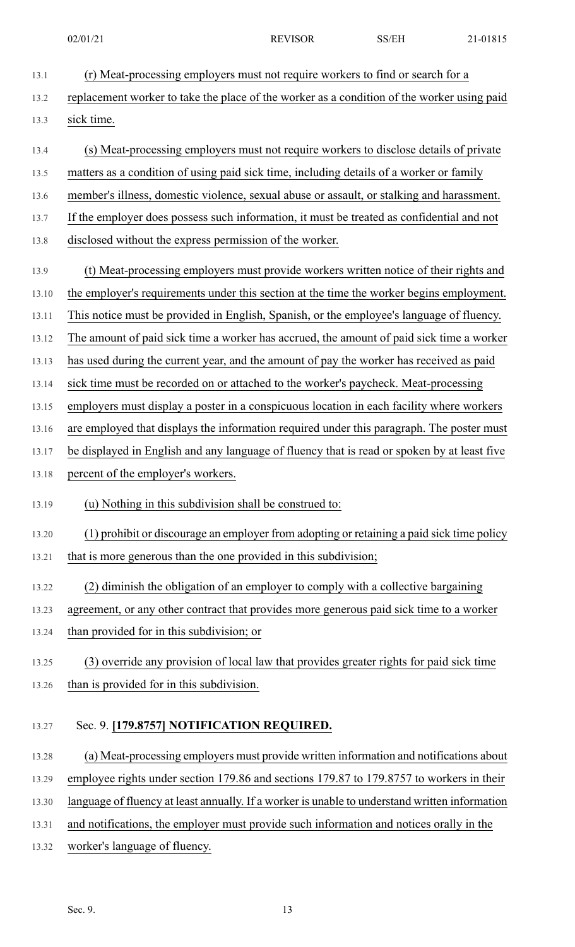13.1 (r) Meat-processing employers must not require workers to find or search for a 13.2 replacement worker to take the place of the worker as a condition of the worker using paid 13.3 sick time. 13.4 (s) Meat-processing employers must not require workers to disclose details of private 13.5 matters as a condition of using paid sick time, including details of a worker or family 13.6 member's illness, domestic violence, sexual abuse or assault, or stalking and harassment. 13.7 If the employer does possess such information, it must be treated as confidential and not 13.8 disclosed without the express permission of the worker. 13.9 (t) Meat-processing employers must provide workers written notice of their rights and 13.10 the employer's requirements under this section at the time the worker begins employment. 13.11 This notice must be provided in English, Spanish, or the employee's language of fluency. 13.12 The amount of paid sick time a worker has accrued, the amount of paid sick time a worker 13.13 has used during the current year, and the amount of pay the worker has received as paid 13.14 sick time must be recorded on or attached to the worker's paycheck. Meat-processing 13.15 employers must display a poster in a conspicuous location in each facility where workers 13.16 are employed that displays the information required under this paragraph. The poster must 13.17 be displayed in English and any language of fluency that is read or spoken by at least five 13.18 percent of the employer's workers. 13.19 (u) Nothing in this subdivision shall be construed to: 13.20 (1) prohibit or discourage an employer from adopting or retaining a paid sick time policy 13.21 that is more generous than the one provided in this subdivision; 13.22 (2) diminish the obligation of an employer to comply with a collective bargaining 13.23 agreement, or any other contract that provides more generous paid sick time to a worker 13.24 than provided for in this subdivision; or 13.25 (3) override any provision of local law that provides greater rights for paid sick time 13.26 than is provided for in this subdivision.

## 13.27 Sec. 9. **[179.8757] NOTIFICATION REQUIRED.**

- 13.28 (a) Meat-processing employers must provide written information and notifications about 13.29 employee rights under section 179.86 and sections 179.87 to 179.8757 to workers in their 13.30 language of fluency at least annually. If a worker is unable to understand written information
- 13.31 and notifications, the employer must provide such information and notices orally in the
- 13.32 worker's language of fluency.